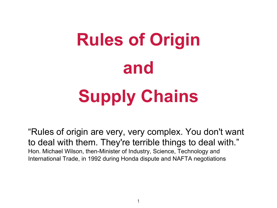

"Rules of origin are very, very complex. You don't want to deal with them. They're terrible things to deal with." Hon. Michael Wilson, then-Minister of Industry, Science, Technology and International Trade, in 1992 during Honda dispute and NAFTA negotiations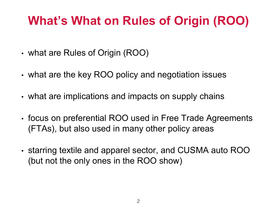### **What's What on Rules of Origin (ROO)**

- what are Rules of Origin (ROO)
- what are the key ROO policy and negotiation issues
- what are implications and impacts on supply chains
- focus on preferential ROO used in Free Trade Agreements (FTAs), but also used in many other policy areas
- starring textile and apparel sector, and CUSMA auto ROO (but not the only ones in the ROO show)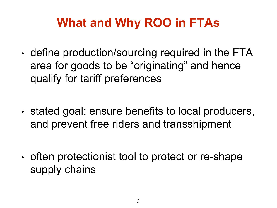### **What and Why ROO in FTAs**

- define production/sourcing required in the FTA area for goods to be "originating" and hence qualify for tariff preferences
- stated goal: ensure benefits to local producers, and prevent free riders and transshipment
- often protectionist tool to protect or re-shape supply chains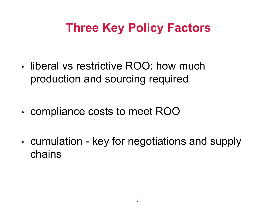### **Three Key Policy Factors**

- liberal vs restrictive ROO: how much production and sourcing required
- compliance costs to meet ROO
- cumulation key for negotiations and supply chains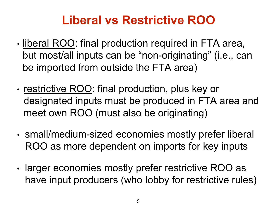### **Liberal vs Restrictive ROO**

- liberal ROO: final production required in FTA area, but most/all inputs can be "non-originating" (i.e., can be imported from outside the FTA area)
- restrictive ROO: final production, plus key or designated inputs must be produced in FTA area and meet own ROO (must also be originating)
- small/medium-sized economies mostly prefer liberal ROO as more dependent on imports for key inputs
- larger economies mostly prefer restrictive ROO as have input producers (who lobby for restrictive rules)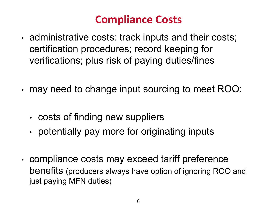#### **Compliance Costs**

- administrative costs: track inputs and their costs; certification procedures; record keeping for verifications; plus risk of paying duties/fines
- may need to change input sourcing to meet ROO:
	- costs of finding new suppliers
	- potentially pay more for originating inputs
- compliance costs may exceed tariff preference benefits (producers always have option of ignoring ROO and just paying MFN duties)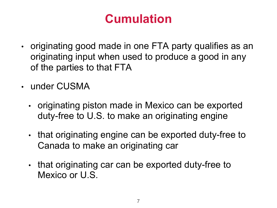### **Cumulation**

- originating good made in one FTA party qualifies as an originating input when used to produce a good in any of the parties to that FTA
- under CUSMA
	- originating piston made in Mexico can be exported duty-free to U.S. to make an originating engine
	- that originating engine can be exported duty-free to Canada to make an originating car
	- that originating car can be exported duty-free to Mexico or U.S.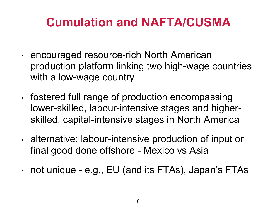### **Cumulation and NAFTA/CUSMA**

- encouraged resource-rich North American production platform linking two high-wage countries with a low-wage country
- fostered full range of production encompassing lower-skilled, labour-intensive stages and higherskilled, capital-intensive stages in North America
- alternative: labour-intensive production of input or final good done offshore - Mexico vs Asia
- not unique e.g., EU (and its FTAs), Japan's FTAs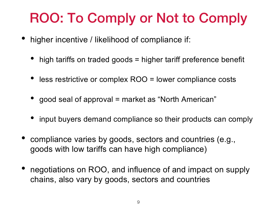# ROO: To Comply or Not to Comply

- higher incentive / likelihood of compliance if:
	- high tariffs on traded goods = higher tariff preference benefit
	- less restrictive or complex ROO = lower compliance costs
	- good seal of approval = market as "North American"
	- input buyers demand compliance so their products can comply
- compliance varies by goods, sectors and countries (e.g., goods with low tariffs can have high compliance)
- negotiations on ROO, and influence of and impact on supply chains, also vary by goods, sectors and countries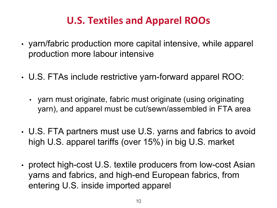#### **U.S. Textiles and Apparel ROOs**

- yarn/fabric production more capital intensive, while apparel production more labour intensive
- U.S. FTAs include restrictive yarn-forward apparel ROO:
	- yarn must originate, fabric must originate (using originating yarn), and apparel must be cut/sewn/assembled in FTA area
- U.S. FTA partners must use U.S. yarns and fabrics to avoid high U.S. apparel tariffs (over 15%) in big U.S. market
- protect high-cost U.S. textile producers from low-cost Asian yarns and fabrics, and high-end European fabrics, from entering U.S. inside imported apparel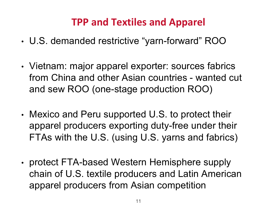#### **TPP and Textiles and Apparel**

- U.S. demanded restrictive "yarn-forward" ROO
- Vietnam: major apparel exporter: sources fabrics from China and other Asian countries - wanted cut and sew ROO (one-stage production ROO)
- Mexico and Peru supported U.S. to protect their apparel producers exporting duty-free under their FTAs with the U.S. (using U.S. yarns and fabrics)
- protect FTA-based Western Hemisphere supply chain of U.S. textile producers and Latin American apparel producers from Asian competition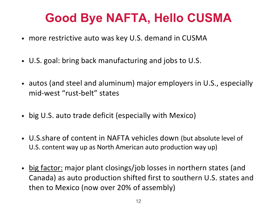### **Good Bye NAFTA, Hello CUSMA**

- more restrictive auto was key U.S. demand in CUSMA
- U.S. goal: bring back manufacturing and jobs to U.S.
- autos (and steel and aluminum) major employers in U.S., especially mid-west "rust-belt" states
- big U.S. auto trade deficit (especially with Mexico)
- U.S.share of content in NAFTA vehicles down (but absolute level of U.S. content way up as North American auto production way up)
- big factor: major plant closings/job losses in northern states (and Canada) as auto production shifted first to southern U.S. states and then to Mexico (now over 20% of assembly)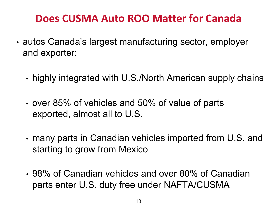#### **Does CUSMA Auto ROO Matter for Canada**

- autos Canada's largest manufacturing sector, employer and exporter:
	- highly integrated with U.S./North American supply chains
	- over 85% of vehicles and 50% of value of parts exported, almost all to U.S.
	- many parts in Canadian vehicles imported from U.S. and starting to grow from Mexico
	- 98% of Canadian vehicles and over 80% of Canadian parts enter U.S. duty free under NAFTA/CUSMA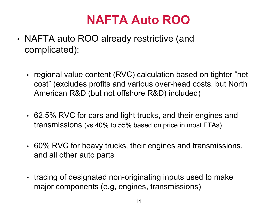### **NAFTA Auto ROO**

- NAFTA auto ROO already restrictive (and complicated):
	- regional value content (RVC) calculation based on tighter "net cost" (excludes profits and various over-head costs, but North American R&D (but not offshore R&D) included)
	- 62.5% RVC for cars and light trucks, and their engines and transmissions (vs 40% to 55% based on price in most FTAs)
	- 60% RVC for heavy trucks, their engines and transmissions, and all other auto parts
	- tracing of designated non-originating inputs used to make major components (e.g, engines, transmissions)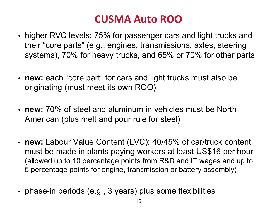#### **CUSMA Auto ROO**

- higher RVC levels: 75% for passenger cars and light trucks and their "core parts" (e.g., engines, transmissions, axles, steering systems), 70% for heavy trucks, and 65% or 70% for other parts
- **new:** each "core part" for cars and light trucks must also be originating (must meet its own ROO)
- **new:** 70% of steel and aluminum in vehicles must be North American (plus melt and pour rule for steel)
- **new:** Labour Value Content (LVC): 40/45% of car/truck content must be made in plants paying workers at least US\$16 per hour (allowed up to 10 percentage points from R&D and IT wages and up to 5 percentage points for engine, transmission or battery assembly)
- phase-in periods (e.g., 3 years) plus some flexibilities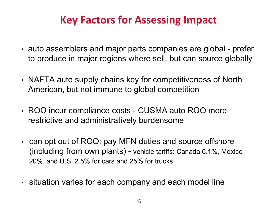#### **Key Factors for Assessing Impact**

- auto assemblers and major parts companies are global prefer to produce in major regions where sell, but can source globally
- NAFTA auto supply chains key for competitiveness of North American, but not immune to global competition
- ROO incur compliance costs CUSMA auto ROO more restrictive and administratively burdensome
- can opt out of ROO: pay MFN duties and source offshore (including from own plants) - vehicle tariffs: Canada 6.1%, Mexico 20%, and U.S. 2.5% for cars and 25% for trucks
- situation varies for each company and each model line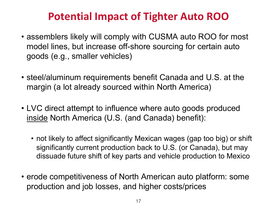#### **Potential Impact of Tighter Auto ROO**

- assemblers likely will comply with CUSMA auto ROO for most model lines, but increase off-shore sourcing for certain auto goods (e.g., smaller vehicles)
- steel/aluminum requirements benefit Canada and U.S. at the margin (a lot already sourced within North America)
- LVC direct attempt to influence where auto goods produced inside North America (U.S. (and Canada) benefit):
	- not likely to affect significantly Mexican wages (gap too big) or shift significantly current production back to U.S. (or Canada), but may dissuade future shift of key parts and vehicle production to Mexico
- erode competitiveness of North American auto platform: some production and job losses, and higher costs/prices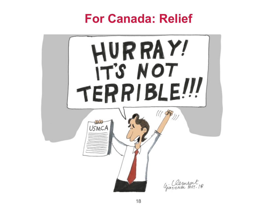#### **For Canada: Relief**

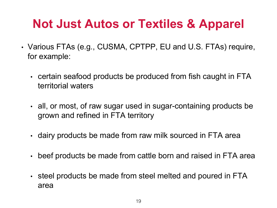### **Not Just Autos or Textiles & Apparel**

- Various FTAs (e.g., CUSMA, CPTPP, EU and U.S. FTAs) require, for example:
	- certain seafood products be produced from fish caught in FTA territorial waters
	- all, or most, of raw sugar used in sugar-containing products be grown and refined in FTA territory
	- dairy products be made from raw milk sourced in FTA area
	- beef products be made from cattle born and raised in FTA area
	- steel products be made from steel melted and poured in FTA area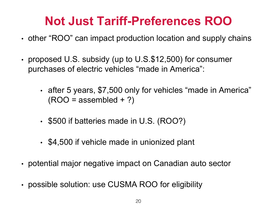### **Not Just Tariff-Preferences ROO**

- other "ROO" can impact production location and supply chains
- proposed U.S. subsidy (up to U.S.\$12,500) for consumer purchases of electric vehicles "made in America":
	- after 5 years, \$7,500 only for vehicles "made in America"  $(ROO = assembled + ?)$
	- \$500 if batteries made in U.S. (ROO?)
	- \$4,500 if vehicle made in unionized plant
- potential major negative impact on Canadian auto sector
- possible solution: use CUSMA ROO for eligibility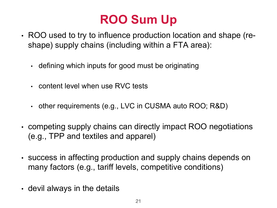## **ROO Sum Up**

- ROO used to try to influence production location and shape (reshape) supply chains (including within a FTA area):
	- defining which inputs for good must be originating
	- content level when use RVC tests
	- other requirements (e.g., LVC in CUSMA auto ROO; R&D)
- competing supply chains can directly impact ROO negotiations (e.g., TPP and textiles and apparel)
- success in affecting production and supply chains depends on many factors (e.g., tariff levels, competitive conditions)
- devil always in the details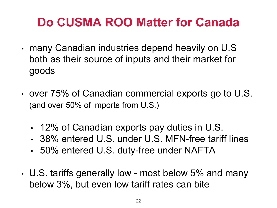### **Do CUSMA ROO Matter for Canada**

- many Canadian industries depend heavily on U.S both as their source of inputs and their market for goods
- over 75% of Canadian commercial exports go to U.S. (and over 50% of imports from U.S.)
	- 12% of Canadian exports pay duties in U.S.
	- 38% entered U.S. under U.S. MFN-free tariff lines
	- 50% entered U.S. duty-free under NAFTA
- U.S. tariffs generally low most below 5% and many below 3%, but even low tariff rates can bite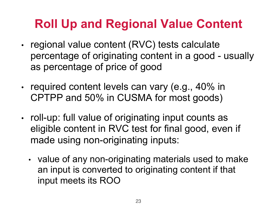#### **Roll Up and Regional Value Content**

- regional value content (RVC) tests calculate percentage of originating content in a good - usually as percentage of price of good
- required content levels can vary (e.g., 40% in CPTPP and 50% in CUSMA for most goods)
- roll-up: full value of originating input counts as eligible content in RVC test for final good, even if made using non-originating inputs:
	- value of any non-originating materials used to make an input is converted to originating content if that input meets its ROO